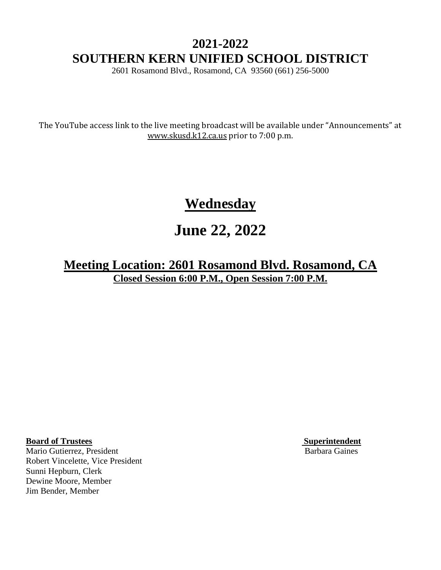# **2021-2022 SOUTHERN KERN UNIFIED SCHOOL DISTRICT**

2601 Rosamond Blvd., Rosamond, CA 93560 (661) 256-5000

The YouTube access link to the live meeting broadcast will be available under "Announcements" at [www.skusd.k12.ca.us](http://www.skusd.k12.ca.us/) prior to 7:00 p.m.

# **Wednesday**

# **June 22, 2022**

**Meeting Location: 2601 Rosamond Blvd. Rosamond, CA Closed Session 6:00 P.M., Open Session 7:00 P.M.**

**Board of Trustees Superintendent Superintendent** 

Mario Gutierrez, President Barbara Gaines Robert Vincelette, Vice President Sunni Hepburn, Clerk Dewine Moore, Member Jim Bender, Member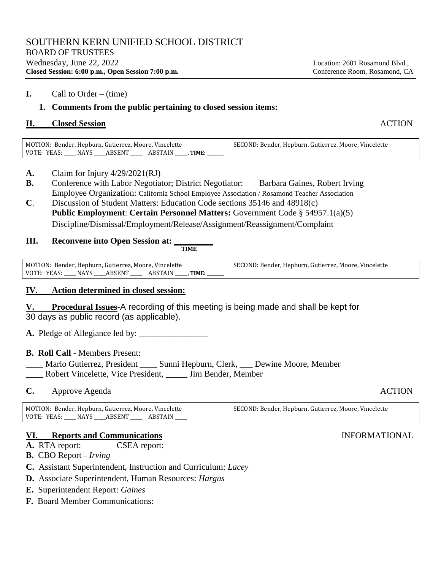## **1. Comments from the public pertaining to closed session items:**

## **II.** Closed Session **ACTION**

MOTION: Bender, Hepburn, Gutierrez, Moore, Vincelette VOTE: YEAS: \_\_\_\_\_ NAYS \_\_\_\_\_ABSENT \_\_\_\_\_ ABSTAIN \_\_\_\_\_**, TIME: \_\_\_\_\_\_\_\_** SECOND: Bender, Hepburn, Gutierrez, Moore, Vincelette

- **A.** Claim for Injury 4/29/2021(RJ)
- **B.** Conference with Labor Negotiator; District Negotiator: Barbara Gaines, Robert Irving Employee Organization: California School Employee Association / Rosamond Teacher Association
- **C**. Discussion of Student Matters: Education Code sections 35146 and 48918(c) **Public Employment**: **Certain Personnel Matters:** Government Code § 54957.1(a)(5) Discipline/Dismissal/Employment/Release/Assignment/Reassignment/Complaint

## **III.** Reconvene into Open Session at:

**TIME**

MOTION: Bender, Hepburn, Gutierrez, Moore, Vincelette VOTE: YEAS: \_\_\_\_\_ NAYS \_\_\_\_\_ABSENT \_\_\_\_\_ ABSTAIN \_\_\_\_\_**, TIME: \_\_\_\_\_\_\_\_** SECOND: Bender, Hepburn, Gutierrez, Moore, Vincelette

# **IV. Action determined in closed session:**

**V. Procedural Issues**-A recording of this meeting is being made and shall be kept for 30 days as public record (as applicable).

**A.** Pledge of Allegiance led by: \_\_\_\_\_\_\_\_\_\_\_\_\_\_\_\_

# **B. Roll Call** - Members Present:

Mario Gutierrez, President \_\_\_\_\_ Sunni Hepburn, Clerk, \_\_\_\_ Dewine Moore, Member \_\_\_\_ Robert Vincelette, Vice President, \_\_\_\_\_ Jim Bender, Member

**C.** Approve Agenda **ACTION** 

MOTION: Bender, Hepburn, Gutierrez, Moore, Vincelette VOTE: YEAS: \_\_\_\_ NAYS \_\_\_\_ ABSENT \_\_\_\_\_ ABSTAIN SECOND: Bender, Hepburn, Gutierrez, Moore, Vincelette

# **VI. Reports and Communications** INFORMATIONAL

**A.** RTA report: CSEA report:

- **B.** CBO Report *Irving*
- **C.**Assistant Superintendent, Instruction and Curriculum: *Lacey*
- **D.**Associate Superintendent, Human Resources: *Hargus*
- **E.** Superintendent Report: *Gaines*
- **F.** Board Member Communications: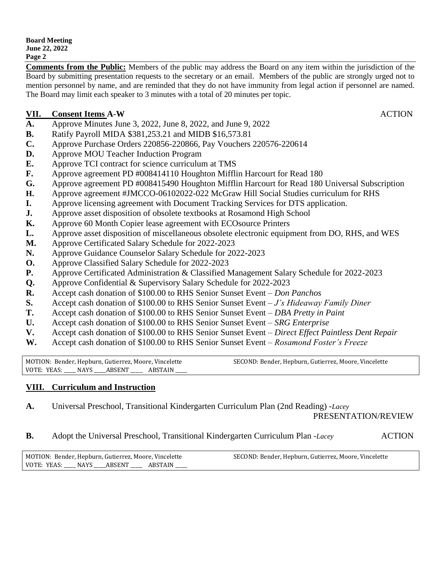**Comments from the Public:** Members of the public may address the Board on any item within the jurisdiction of the Board by submitting presentation requests to the secretary or an email. Members of the public are strongly urged not to mention personnel by name, and are reminded that they do not have immunity from legal action if personnel are named. The Board may limit each speaker to 3 minutes with a total of 20 minutes per topic.

### **VII. Consent Items A-W** ACTION

- **A.** Approve Minutes June 3, 2022, June 8, 2022, and June 9, 2022
- **B.** Ratify Payroll MIDA \$381,253.21 and MIDB \$16,573.81
- **C.** Approve Purchase Orders 220856-220866, Pay Vouchers 220576-220614
- **D.** Approve MOU Teacher Induction Program
- **E.** Approve TCI contract for science curriculum at TMS
- **F.** Approve agreement PD #008414110 Houghton Mifflin Harcourt for Read 180
- **G.** Approve agreement PD #008415490 Houghton Mifflin Harcourt for Read 180 Universal Subscription
- **H.** Approve agreement #JMCCO-06102022-022 McGraw Hill Social Studies curriculum for RHS
- **I.** Approve licensing agreement with Document Tracking Services for DTS application.
- **J.** Approve asset disposition of obsolete textbooks at Rosamond High School
- **K.** Approve 60 Month Copier lease agreement with ECOsource Printers
- **L.** Approve asset disposition of miscellaneous obsolete electronic equipment from DO, RHS, and WES
- **M.** Approve Certificated Salary Schedule for 2022-2023
- **N.** Approve Guidance Counselor Salary Schedule for 2022-2023
- **O.** Approve Classified Salary Schedule for 2022-2023
- **P.** Approve Certificated Administration & Classified Management Salary Schedule for 2022-2023
- **Q.** Approve Confidential & Supervisory Salary Schedule for 2022-2023
- **R.** Accept cash donation of \$100.00 to RHS Senior Sunset Event *Don Panchos*
- **S.** Accept cash donation of \$100.00 to RHS Senior Sunset Event *J's Hideaway Family Diner*
- **T.** Accept cash donation of \$100.00 to RHS Senior Sunset Event *DBA Pretty in Paint*
- **U.** Accept cash donation of \$100.00 to RHS Senior Sunset Event *SRG Enterprise*
- **V.** Accept cash donation of \$100.00 to RHS Senior Sunset Event *Direct Effect Paintless Dent Repair*
- **W.** Accept cash donation of \$100.00 to RHS Senior Sunset Event *Rosamond Foster's Freeze*

MOTION: Bender, Hepburn, Gutierrez, Moore, Vincelette VOTE: YEAS: \_\_\_\_ NAYS \_\_\_\_ABSENT \_\_\_\_\_ ABSTAIN SECOND: Bender, Hepburn, Gutierrez, Moore, Vincelette

### **VIII. Curriculum and Instruction**

**A.** Universal Preschool, Transitional Kindergarten Curriculum Plan (2nd Reading) -*Lacey*

PRESENTATION/REVIEW

### **B.** Adopt the Universal Preschool, Transitional Kindergarten Curriculum Plan -*Lacey* ACTION

| MOTION: Bender, Hepburn, Gutierrez, Moore, Vincelette |  |  | SECOND: Bender, Hepburn, Gutierrez, Moore, Vincelette |
|-------------------------------------------------------|--|--|-------------------------------------------------------|
| VOTE: YEAS: NAYS ABSENT ABSTAIN                       |  |  |                                                       |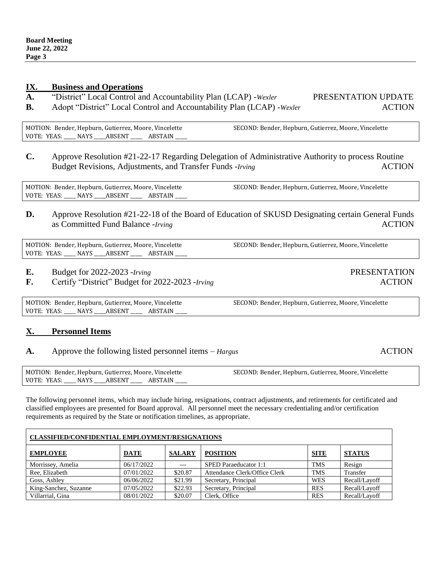### **IX. Business and Operations**

- **A.** "District" Local Control and Accountability Plan (LCAP) -*Wexler* PRESENTATION UPDATE
- **B.** Adopt "District" Local Control and Accountability Plan (LCAP) -*Wexler* ACTION

MOTION: Bender, Hepburn, Gutierrez, Moore, Vincelette VOTE: YEAS: \_\_\_\_ NAYS \_\_\_\_ ABSENT \_\_\_\_\_ ABSTAIN SECOND: Bender, Hepburn, Gutierrez, Moore, Vincelette

**C.** Approve Resolution #21-22-17 Regarding Delegation of Administrative Authority to process Routine Budget Revisions, Adjustments, and Transfer Funds *-Irving* **ACTION** ACTION

MOTION: Bender, Hepburn, Gutierrez, Moore, Vincelette VOTE: YEAS: \_\_\_\_ NAYS \_\_\_\_ABSENT \_\_\_\_\_ ABSTAIN SECOND: Bender, Hepburn, Gutierrez, Moore, Vincelette

**D.** Approve Resolution #21-22-18 of the Board of Education of SKUSD Designating certain General Funds as Committed Fund Balance *-Irving* **ACTION** 

MOTION: Bender, Hepburn, Gutierrez, Moore, Vincelette VOTE: YEAS: \_\_\_\_ NAYS \_\_\_\_ABSENT \_\_\_\_\_ ABSTAIN SECOND: Bender, Hepburn, Gutierrez, Moore, Vincelette

- **E.** Budget for 2022-2023 -*Irving* PRESENTATION
- **F.** Certify "District" Budget for 2022-2023 -*Irving* ACTION

MOTION: Bender, Hepburn, Gutierrez, Moore, Vincelette VOTE: YEAS: \_\_\_\_ NAYS \_\_\_\_ ABSENT \_\_\_\_\_ ABSTAIN

### **X. Personnel Items**

### **A.** Approve the following listed personnel items – *Hargus* ACTION

| MOTION: Bender, Hepburn, Gutierrez, Moore, Vincelette |             |         | SECOND: Bender, Hepburn, Gutierrez, Moore, Vincelette |
|-------------------------------------------------------|-------------|---------|-------------------------------------------------------|
| VOTE: YEAS:                                           | NAYS ABSENT | ABSTAIN |                                                       |

The following personnel items, which may include hiring, resignations, contract adjustments, and retirements for certificated and classified employees are presented for Board approval. All personnel meet the necessary credentialing and/or certification requirements as required by the State or notification timelines, as appropriate.

| <b>CLASSIFIED/CONFIDENTIAL EMPLOYMENT/RESIGNATIONS</b> |             |               |                               |             |               |  |
|--------------------------------------------------------|-------------|---------------|-------------------------------|-------------|---------------|--|
| <b>EMPLOYEE</b>                                        | <b>DATE</b> | <b>SALARY</b> | <b>POSITION</b>               | <b>SITE</b> | <b>STATUS</b> |  |
| Morrissey, Amelia                                      | 06/17/2022  | $---$         | SPED Paraeducator 1:1         | <b>TMS</b>  | Resign        |  |
| Ree, Elizabeth                                         | 07/01/2022  | \$20.87       | Attendance Clerk/Office Clerk | <b>TMS</b>  | Transfer      |  |
| Goss, Ashley                                           | 06/06/2022  | \$21.99       | Secretary, Principal          | <b>WES</b>  | Recall/Layoff |  |
| King-Sanchez, Suzanne                                  | 07/05/2022  | \$22.93       | Secretary, Principal          | <b>RES</b>  | Recall/Layoff |  |
| Villarrial, Gina                                       | 08/01/2022  | \$20.07       | Clerk. Office                 | <b>RES</b>  | Recall/Layoff |  |

SECOND: Bender, Hepburn, Gutierrez, Moore, Vincelette